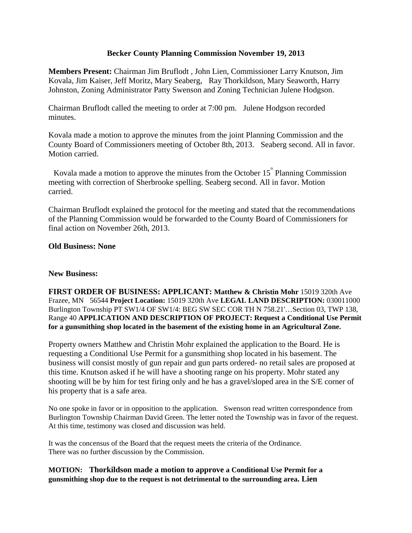# **Becker County Planning Commission November 19, 2013**

**Members Present:** Chairman Jim Bruflodt , John Lien, Commissioner Larry Knutson, Jim Kovala, Jim Kaiser, Jeff Moritz, Mary Seaberg, Ray Thorkildson, Mary Seaworth, Harry Johnston, Zoning Administrator Patty Swenson and Zoning Technician Julene Hodgson.

Chairman Bruflodt called the meeting to order at 7:00 pm. Julene Hodgson recorded minutes.

Kovala made a motion to approve the minutes from the joint Planning Commission and the County Board of Commissioners meeting of October 8th, 2013. Seaberg second. All in favor. Motion carried.

Kovala made a motion to approve the minutes from the October  $15^{\text{th}}$  Planning Commission meeting with correction of Sherbrooke spelling. Seaberg second. All in favor. Motion carried.

Chairman Bruflodt explained the protocol for the meeting and stated that the recommendations of the Planning Commission would be forwarded to the County Board of Commissioners for final action on November 26th, 2013.

## **Old Business: None**

### **New Business:**

**FIRST ORDER OF BUSINESS: APPLICANT: Matthew & Christin Mohr** 15019 320th Ave Frazee, MN 56544 **Project Location:** 15019 320th Ave **LEGAL LAND DESCRIPTION:** 030011000 Burlington Township PT SW1/4 OF SW1/4: BEG SW SEC COR TH N 758.21'…Section 03, TWP 138, Range 40 **APPLICATION AND DESCRIPTION OF PROJECT: Request a Conditional Use Permit for a gunsmithing shop located in the basement of the existing home in an Agricultural Zone.** 

Property owners Matthew and Christin Mohr explained the application to the Board. He is requesting a Conditional Use Permit for a gunsmithing shop located in his basement. The business will consist mostly of gun repair and gun parts ordered- no retail sales are proposed at this time. Knutson asked if he will have a shooting range on his property. Mohr stated any shooting will be by him for test firing only and he has a gravel/sloped area in the S/E corner of his property that is a safe area.

No one spoke in favor or in opposition to the application. Swenson read written correspondence from Burlington Township Chairman David Green. The letter noted the Township was in favor of the request. At this time, testimony was closed and discussion was held.

It was the concensus of the Board that the request meets the criteria of the Ordinance. There was no further discussion by the Commission.

# **MOTION: Thorkildson made a motion to approve a Conditional Use Permit for a gunsmithing shop due to the request is not detrimental to the surrounding area. Lien**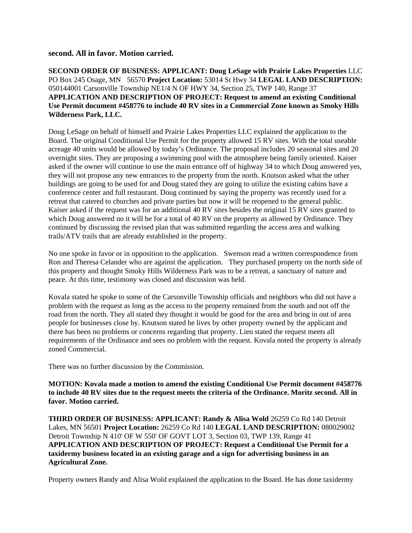### **second. All in favor. Motion carried.**

**SECOND ORDER OF BUSINESS: APPLICANT: Doug LeSage with Prairie Lakes Properties** LLC PO Box 245 Osage, MN 56570 **Project Location:** 53014 St Hwy 34 **LEGAL LAND DESCRIPTION:** 050144001 Carsonville Township NE1/4 N OF HWY 34, Section 25, TWP 140, Range 37 **APPLICATION AND DESCRIPTION OF PROJECT: Request to amend an existing Conditional Use Permit document #458776 to include 40 RV sites in a Commercial Zone known as Smoky Hills Wilderness Park, LLC.** 

Doug LeSage on behalf of himself and Prairie Lakes Properties LLC explained the application to the Board. The original Conditional Use Permit for the property allowed 15 RV sites. With the total useable acreage 40 units would be allowed by today's Ordinance. The proposal includes 20 seasonal sites and 20 overnight sites. They are proposing a swimming pool with the atmosphere being family oriented. Kaiser asked if the owner will continue to use the main entrance off of highway 34 to which Doug answered yes, they will not propose any new entrances to the property from the north. Knutson asked what the other buildings are going to be used for and Doug stated they are going to utilize the existing cabins have a conference center and full restaurant. Doug continued by saying the property was recently used for a retreat that catered to churches and private parties but now it will be reopened to the general public. Kaiser asked if the request was for an additional 40 RV sites besides the original 15 RV sites granted to which Doug answered no it will be for a total of 40 RV on the property as allowed by Ordinance. They continued by discussing the revised plan that was submitted regarding the access area and walking trails/ATV trails that are already established in the property.

No one spoke in favor or in opposition to the application. Swenson read a written correspondence from Ron and Theresa Celander who are against the application. They purchased property on the north side of this property and thought Smoky Hills Wilderness Park was to be a retreat, a sanctuary of nature and peace. At this time, testimony was closed and discussion was held.

Kovala stated he spoke to some of the Carsonville Township officials and neighbors who did not have a problem with the request as long as the access to the property remained from the south and not off the road from the north. They all stated they thought it would be good for the area and bring in out of area people for businesses close by. Knutson stated he lives by other property owned by the applicant and there has been no problems or concerns regarding that property. Lien stated the request meets all requirements of the Ordinance and sees no problem with the request. Kovala noted the property is already zoned Commercial.

There was no further discussion by the Commission.

**MOTION: Kovala made a motion to amend the existing Conditional Use Permit document #458776 to include 40 RV sites due to the request meets the criteria of the Ordinance. Moritz second. All in favor. Motion carried.** 

**THIRD ORDER OF BUSINESS: APPLICANT: Randy & Alisa Wold 26259 Co Rd 140 Detroit** Lakes, MN 56501 **Project Location:** 26259 Co Rd 140 **LEGAL LAND DESCRIPTION:** 080029002 Detroit Township N 410' OF W 550' OF GOVT LOT 3, Section 03, TWP 139, Range 41 **APPLICATION AND DESCRIPTION OF PROJECT: Request a Conditional Use Permit for a taxidermy business located in an existing garage and a sign for advertising business in an Agricultural Zone.** 

Property owners Randy and Alisa Wold explained the application to the Board. He has done taxidermy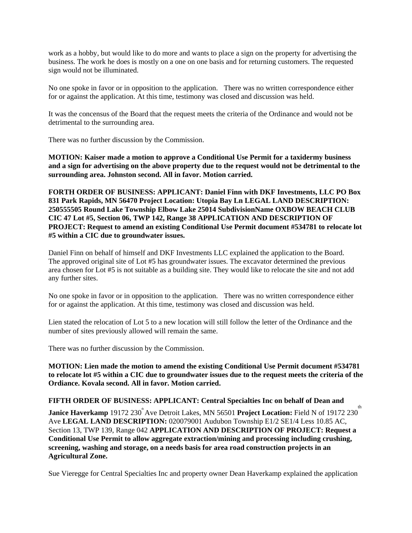work as a hobby, but would like to do more and wants to place a sign on the property for advertising the business. The work he does is mostly on a one on one basis and for returning customers. The requested sign would not be illuminated.

No one spoke in favor or in opposition to the application. There was no written correspondence either for or against the application. At this time, testimony was closed and discussion was held.

It was the concensus of the Board that the request meets the criteria of the Ordinance and would not be detrimental to the surrounding area.

There was no further discussion by the Commission.

**MOTION: Kaiser made a motion to approve a Conditional Use Permit for a taxidermy business and a sign for advertising on the above property due to the request would not be detrimental to the surrounding area. Johnston second. All in favor. Motion carried.** 

**FORTH ORDER OF BUSINESS: APPLICANT: Daniel Finn with DKF Investments, LLC PO Box 831 Park Rapids, MN 56470 Project Location: Utopia Bay Ln LEGAL LAND DESCRIPTION: 250555505 Round Lake Township Elbow Lake 25014 SubdivisionName OXBOW BEACH CLUB CIC 47 Lot #5, Section 06, TWP 142, Range 38 APPLICATION AND DESCRIPTION OF PROJECT: Request to amend an existing Conditional Use Permit document #534781 to relocate lot #5 within a CIC due to groundwater issues.** 

Daniel Finn on behalf of himself and DKF Investments LLC explained the application to the Board. The approved original site of Lot #5 has groundwater issues. The excavator determined the previous area chosen for Lot #5 is not suitable as a building site. They would like to relocate the site and not add any further sites.

No one spoke in favor or in opposition to the application. There was no written correspondence either for or against the application. At this time, testimony was closed and discussion was held.

Lien stated the relocation of Lot 5 to a new location will still follow the letter of the Ordinance and the number of sites previously allowed will remain the same.

There was no further discussion by the Commission.

**MOTION: Lien made the motion to amend the existing Conditional Use Permit document #534781 to relocate lot #5 within a CIC due to groundwater issues due to the request meets the criteria of the Ordiance. Kovala second. All in favor. Motion carried.** 

**FIFTH ORDER OF BUSINESS: APPLICANT: Central Specialties Inc on behalf of Dean and** 

**Janice Haverkamp** 19172 230<sup>th</sup> Ave Detroit Lakes, MN 56501 **Project Location:** Field N of 19172 230<sup>th</sup> Ave **LEGAL LAND DESCRIPTION:** 020079001 Audubon Township E1/2 SE1/4 Less 10.85 AC, Section 13, TWP 139, Range 042 **APPLICATION AND DESCRIPTION OF PROJECT: Request a Conditional Use Permit to allow aggregate extraction/mining and processing including crushing, screening, washing and storage, on a needs basis for area road construction projects in an Agricultural Zone.** 

Sue Vieregge for Central Specialties Inc and property owner Dean Haverkamp explained the application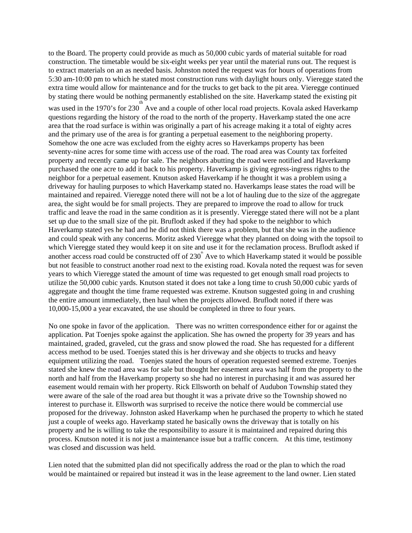to the Board. The property could provide as much as 50,000 cubic yards of material suitable for road construction. The timetable would be six-eight weeks per year until the material runs out. The request is to extract materials on an as needed basis. Johnston noted the request was for hours of operations from 5:30 am-10:00 pm to which he stated most construction runs with daylight hours only. Vieregge stated the extra time would allow for maintenance and for the trucks to get back to the pit area. Vieregge continued by stating there would be nothing permanently established on the site. Haverkamp stated the existing pit

 $\frac{1}{2}$  was used in the 1970's for 230 Ave and a couple of other local road projects. Kovala asked Haverkamp questions regarding the history of the road to the north of the property. Haverkamp stated the one acre area that the road surface is within was originally a part of his acreage making it a total of eighty acres and the primary use of the area is for granting a perpetual easement to the neighboring property. Somehow the one acre was excluded from the eighty acres so Haverkamps property has been seventy-nine acres for some time with access use of the road. The road area was County tax forfeited property and recently came up for sale. The neighbors abutting the road were notified and Haverkamp purchased the one acre to add it back to his property. Haverkamp is giving egress-ingress rights to the neighbor for a perpetual easement. Knutson asked Haverkamp if he thought it was a problem using a driveway for hauling purposes to which Haverkamp stated no. Haverkamps lease states the road will be maintained and repaired. Vieregge noted there will not be a lot of hauling due to the size of the aggregate area, the sight would be for small projects. They are prepared to improve the road to allow for truck traffic and leave the road in the same condition as it is presently. Vieregge stated there will not be a plant set up due to the small size of the pit. Bruflodt asked if they had spoke to the neighbor to which Haverkamp stated yes he had and he did not think there was a problem, but that she was in the audience and could speak with any concerns. Moritz asked Vieregge what they planned on doing with the topsoil to which Vieregge stated they would keep it on site and use it for the reclamation process. Bruflodt asked if another access road could be constructed off of  $230^{\circ}$  Ave to which Haverkamp stated it would be possible but not feasible to construct another road next to the existing road. Kovala noted the request was for seven years to which Vieregge stated the amount of time was requested to get enough small road projects to utilize the 50,000 cubic yards. Knutson stated it does not take a long time to crush 50,000 cubic yards of aggregate and thought the time frame requested was extreme. Knutson suggested going in and crushing the entire amount immediately, then haul when the projects allowed. Bruflodt noted if there was 10,000-15,000 a year excavated, the use should be completed in three to four years.

No one spoke in favor of the application. There was no written correspondence either for or against the application. Pat Toenjes spoke against the application. She has owned the property for 39 years and has maintained, graded, graveled, cut the grass and snow plowed the road. She has requested for a different access method to be used. Toenjes stated this is her driveway and she objects to trucks and heavy equipment utilizing the road. Toenjes stated the hours of operation requested seemed extreme. Toenjes stated she knew the road area was for sale but thought her easement area was half from the property to the north and half from the Haverkamp property so she had no interest in purchasing it and was assured her easement would remain with her property. Rick Ellsworth on behalf of Audubon Township stated they were aware of the sale of the road area but thought it was a private drive so the Township showed no interest to purchase it. Ellsworth was surprised to receive the notice there would be commercial use proposed for the driveway. Johnston asked Haverkamp when he purchased the property to which he stated just a couple of weeks ago. Haverkamp stated he basically owns the driveway that is totally on his property and he is willing to take the responsibility to assure it is maintained and repaired during this process. Knutson noted it is not just a maintenance issue but a traffic concern. At this time, testimony was closed and discussion was held.

Lien noted that the submitted plan did not specifically address the road or the plan to which the road would be maintained or repaired but instead it was in the lease agreement to the land owner. Lien stated